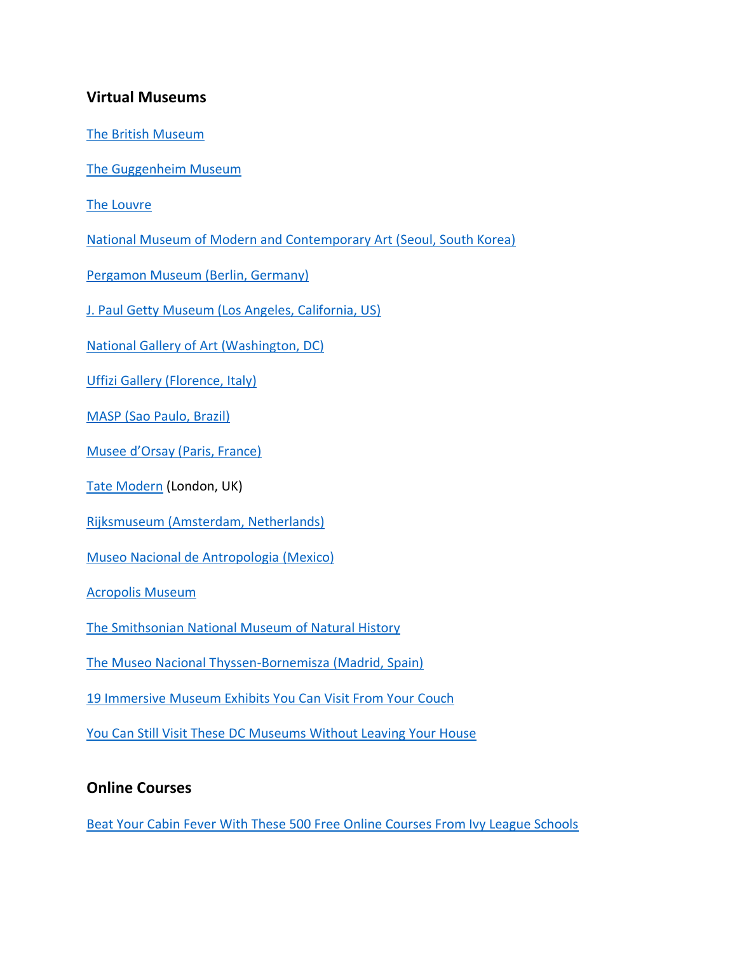## **Virtual Museums**

[The British Museum](https://britishmuseum.withgoogle.com/)

[The Guggenheim](https://artsandculture.google.com/streetview/solomon-r-guggenheim-museum-interior-streetview/jAHfbv3JGM2KaQ?sv_lng=-73.95902634325634&sv_lat=40.78285751667664&sv_h=31&sv_p=0&sv_pid=MfnUmHRyOSzMtY3vtYU05g&sv_z=1.0000000000000002) Museum

[The Louvre](https://www.louvre.fr/sites/default/files/medias/medias_fichiers/fichiers/pdf/louvre-plan-information-english.pdf)

[National Museum of Modern and Contemporary Art \(Seoul, South Korea\)](https://artsandculture.google.com/search/streetview?p=national-museum-of-modern-and-contemporary-art-korea&hl=en)

[Pergamon Museum \(Berlin, Germany\)](https://artsandculture.google.com/streetview/pergamonmuseum-staatliche-museen-zu-berlin/0QEALap3qf0s1g?sv_lng=13.397029&sv_lat=52.5210599&sv_h=10&sv_p=0&sv_pid=oeGLHzibhfSR3atEXHgoDQ&sv_z=1.0000000000000002)

[J. Paul Getty Museum \(Los Angeles, California, US\)](https://artsandculture.google.com/partner/the-j-paul-getty-museum?hl=en)

[National Gallery of Art \(Washington, DC\)](https://artsandculture.google.com/partner/national-gallery-of-art-washington-dc?hl=en)

[Uffizi Gallery \(Florence, Italy\)](https://artsandculture.google.com/partner/uffizi-gallery?hl=en)

MASP (Sao [Paulo, Brazil\)](https://artsandculture.google.com/partner/masp?hl=en)

[Musee d'Orsay \(Paris, France\)](https://artsandculture.google.com/partner/musee-dorsay-paris?hl=en)

[Tate Modern](https://www.google.com/maps/@51.5075031,-0.0995387,2a,75y,304.11h,99.02t/data=!3m7!1e1!3m5!1shvKYgaGJMIjUfdFNTdAE-w!2e0!6s%2F%2Fgeo0.ggpht.com%2Fcbk%3Fpanoid%3DhvKYgaGJMIjUfdFNTdAE-w%26output%3Dthumbnail%26cb_client%3Dmaps_sv.tactile.gps%26thumb%3D2%26w%3D203%26h%3D100%26yaw%3D7.1504383%26pitch%3D0%26thumbfov%3D100!7i13312!8i6656) (London, UK)

Rijksmuseum [\(Amsterdam, Netherlands\)](https://www.google.com/maps/@52.3600713,4.8853311,3a,75y,241.52h,101.77t/data=!3m8!1e1!3m6!1sAF1QipO4NkBKbFOeOebV5tKq4dPnUkQJLRjkoSWbc4VO!2e10!3e11!6shttps:%2F%2Flh5.googleusercontent.com%2Fp%2FAF1QipO4NkBKbFOeOebV5tKq4dPnUkQJLRjkoSWbc4VO%3Dw203-h100-k-no-pi-0-ya245.3798-ro0-fo100!7i8704!8i4352)

[Museo Nacional de Antropologia](https://www.google.com/maps/@19.4262788,-99.1873891,2a,75y,61.21h,82.24t/data=!3m7!1e1!3m5!1sVBgz3dcBfUNu5PX8Le15aw!2e0!6s%2F%2Fgeo1.ggpht.com%2Fcbk%3Fpanoid%3DVBgz3dcBfUNu5PX8Le15aw%26output%3Dthumbnail%26cb_client%3Dmaps_sv.tactile.gps%26thumb%3D2%26w%3D203%26h%3D100%26yaw%3D42.40266%26pitch%3D0%26thumbfov%3D100!7i13312!8i6656) (Mexico)

[Acropolis Museum](https://www.google.com/maps/@37.9682863,23.7287594,2a,75y,133.45h,92.7t/data=!3m6!1e1!3m4!1s8TZoEigbxqly5Fd5k47sLw!2e0!7i13312!8i6656)

[The Smithsonian National Museum of Natural History](https://naturalhistory.si.edu/visit/virtual-tour)

[The Museo Nacional Thyssen-Bornemisza](https://static.museothyssen.org/microsites/exposiciones/2020/Rembrandt/index_in.htm?_ga=2.74453330.1790485851.1584231468-870267477.1584231468) (Madrid, Spain)

19 Immersive [Museum Exhibits You Can Visit From Your Couch](https://www.pbs.org/newshour/arts/19-immersive-museum-exhibits-you-can-visit-from-your-couch)

[You Can Still Visit These DC Museums Without Leaving Your House](https://www.washingtonian.com/2020/03/16/you-can-still-visit-these-dc-museums-without-leaving-your-house/)

## **Online Courses**

[Beat Your Cabin Fever With These 500 Free Online Courses From Ivy League Schools](https://www.inc.com/jessica-stillman/500-free-online-courses-from-ivy-league-schools.html)